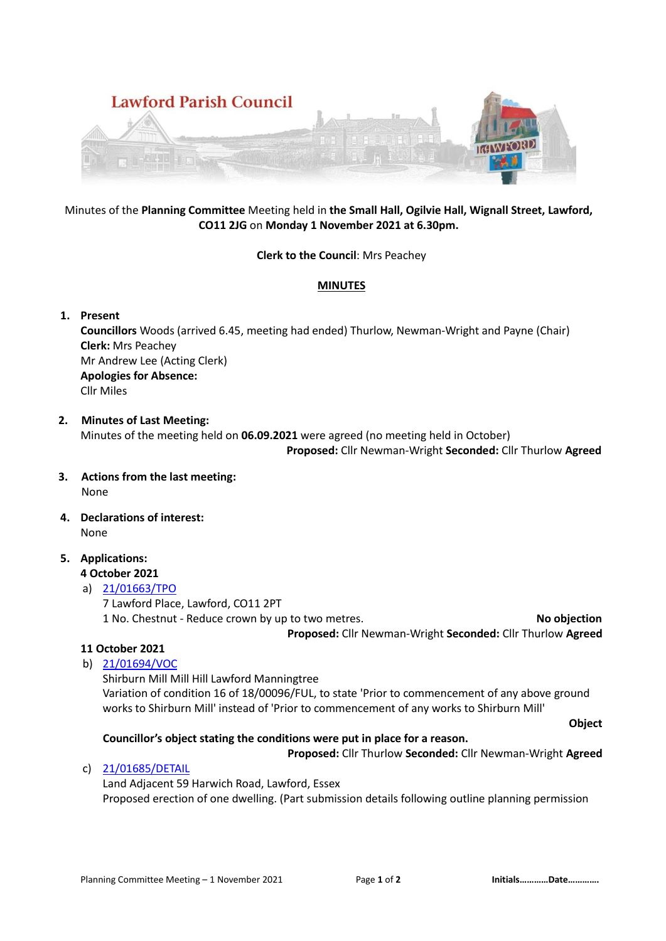

# Minutes of the **Planning Committee** Meeting held in **the Small Hall, Ogilvie Hall, Wignall Street, Lawford, CO11 2JG** on **Monday 1 November 2021 at 6.30pm.**

#### **Clerk to the Council**: Mrs Peachey

#### **MINUTES**

# **1. Present**

**Councillors** Woods (arrived 6.45, meeting had ended) Thurlow, Newman-Wright and Payne (Chair) **Clerk:** Mrs Peachey Mr Andrew Lee (Acting Clerk) **Apologies for Absence:**  Cllr Miles

# **2. Minutes of Last Meeting:**

Minutes of the meeting held on **06.09.2021** were agreed (no meeting held in October)  **Proposed:** Cllr Newman-Wright **Seconded:** Cllr Thurlow **Agreed** 

- **3. Actions from the last meeting:** None
- **4. Declarations of interest:** None
- **5. Applications:**

# **4 October 2021**

# a) [21/01663/TPO](https://idox.tendringdc.gov.uk/online-applications/applicationDetails.do?activeTab=summary&keyVal=R03J1WQB0KP00)

7 Lawford Place, Lawford, CO11 2PT

1 No. Chestnut - Reduce crown by up to two metres. **No objection Proposed:** Cllr Newman-Wright **Seconded:** Cllr Thurlow **Agreed** 

# **11 October 2021**

b) [21/01694/VOC](https://idox.tendringdc.gov.uk/online-applications/applicationDetails.do?activeTab=summary&keyVal=R0I237QB0OT00)

Shirburn Mill Mill Hill Lawford Manningtree Variation of condition 16 of 18/00096/FUL, to state 'Prior to commencement of any above ground works to Shirburn Mill' instead of 'Prior to commencement of any works to Shirburn Mill' **Object**

# **Councillor's object stating the conditions were put in place for a reason.**

**Proposed:** Cllr Thurlow **Seconded:** Cllr Newman-Wright **Agreed** 

c) [21/01685/DETAIL](https://idox.tendringdc.gov.uk/online-applications/applicationDetails.do?activeTab=summary&keyVal=R0G7D5QB0OT00)

Land Adjacent 59 Harwich Road, Lawford, Essex Proposed erection of one dwelling. (Part submission details following outline planning permission